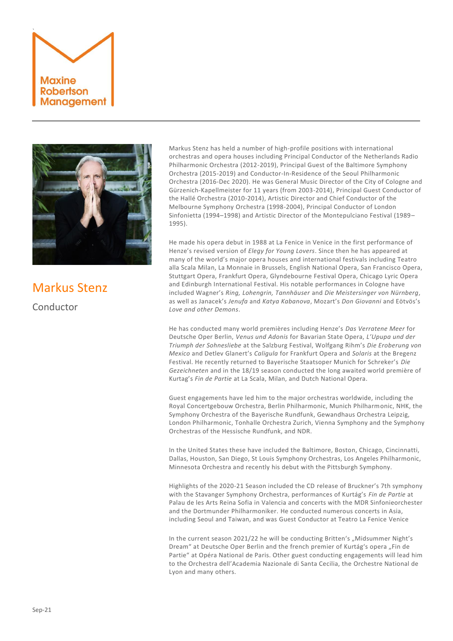



## Markus Stenz

Conductor

Markus Stenz has held a number of high-profile positions with international orchestras and opera houses including Principal Conductor of the Netherlands Radio Philharmonic Orchestra (2012-2019), Principal Guest of the Baltimore Symphony Orchestra (2015-2019) and Conductor-In-Residence of the Seoul Philharmonic Orchestra (2016-Dec 2020). He was General Music Director of the City of Cologne and Gürzenich-Kapellmeister for 11 years (from 2003-2014), Principal Guest Conductor of the Hallé Orchestra (2010-2014), Artistic Director and Chief Conductor of the Melbourne Symphony Orchestra (1998-2004), Principal Conductor of London Sinfonietta (1994–1998) and Artistic Director of the Montepulciano Festival (1989– 1995).

He made his opera debut in 1988 at La Fenice in Venice in the first performance of Henze's revised version of *Elegy for Young Lovers*. Since then he has appeared at many of the world's major opera houses and international festivals including Teatro alla Scala Milan, La Monnaie in Brussels, English National Opera, San Francisco Opera, Stuttgart Opera, Frankfurt Opera, Glyndebourne Festival Opera, Chicago Lyric Opera and Edinburgh International Festival. His notable performances in Cologne have included Wagner's *Ring, Lohengrin, Tannhäuser* and *Die Meistersinger von Nürnberg*, as well as Janacek's *Jenufa* and *Katya Kabanova*, Mozart's *Don Giovanni* and Eötvös's *Love and other Demons*.

He has conducted many world premières including Henze's *Das Verratene Meer* for Deutsche Oper Berlin, *Venus und Adonis* for Bavarian State Opera, *L'Upupa und der Triumph der Sohnesliebe* at the Salzburg Festival, Wolfgang Rihm's *Die Eroberung von Mexico* and Detlev Glanert's *Caligula* for Frankfurt Opera and *Solaris* at the Bregenz Festival. He recently returned to Bayerische Staatsoper Munich for Schreker's *Die Gezeichneten* and in the 18/19 season conducted the long awaited world première of Kurtag's *Fin de Partie* at La Scala, Milan, and Dutch National Opera.

Guest engagements have led him to the major orchestras worldwide, including the Royal Concertgebouw Orchestra, Berlin Philharmonic, Munich Philharmonic, NHK, the Symphony Orchestra of the Bayerische Rundfunk, Gewandhaus Orchestra Leipzig, London Philharmonic, Tonhalle Orchestra Zurich, Vienna Symphony and the Symphony Orchestras of the Hessische Rundfunk, and NDR.

In the United States these have included the Baltimore, Boston, Chicago, Cincinnatti, Dallas, Houston, San Diego, St Louis Symphony Orchestras, Los Angeles Philharmonic, Minnesota Orchestra and recently his debut with the Pittsburgh Symphony.

Highlights of the 2020-21 Season included the CD release of Bruckner's 7th symphony with the Stavanger Symphony Orchestra, performances of Kurtág's *Fin de Partie* at Palau de les Arts Reina Sofia in Valencia and concerts with the MDR Sinfonieorchester and the Dortmunder Philharmoniker. He conducted numerous concerts in Asia, including Seoul and Taiwan, and was Guest Conductor at Teatro La Fenice Venice

In the current season 2021/22 he will be conducting Britten's "Midsummer Night's Dream" at Deutsche Oper Berlin and the french premier of Kurtág's opera "Fin de Partie" at Opéra National de Paris. Other guest conducting engagements will lead him to the Orchestra dell'Academia Nazionale di Santa Cecilia, the Orchestre National de Lyon and many others.